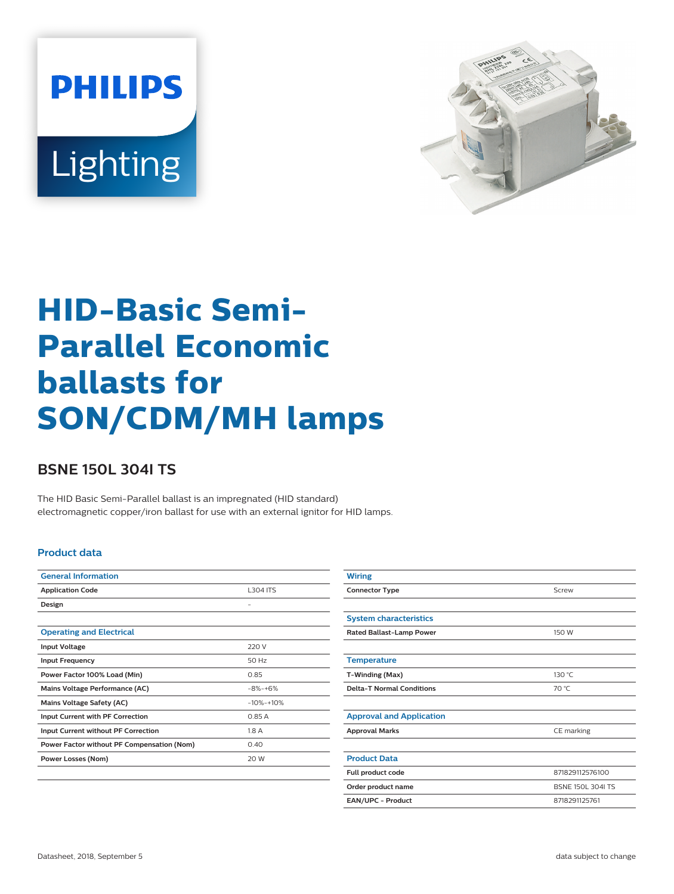



# **HID-Basic Semi-Parallel Economic ballasts for SON/CDM/MH lamps**

## **BSNE 150L 304I TS**

The HID Basic Semi-Parallel ballast is an impregnated (HID standard) electromagnetic copper/iron ballast for use with an external ignitor for HID lamps.

#### **Product data**

| <b>General Information</b>                 |                 |
|--------------------------------------------|-----------------|
| <b>Application Code</b>                    | <b>L304 ITS</b> |
| Design                                     |                 |
|                                            |                 |
| <b>Operating and Electrical</b>            |                 |
| <b>Input Voltage</b>                       | 220 V           |
| <b>Input Frequency</b>                     | 50 Hz           |
| Power Factor 100% Load (Min)               | 0.85            |
| Mains Voltage Performance (AC)             | $-8\% - +6\%$   |
| <b>Mains Voltage Safety (AC)</b>           | $-10% - +10%$   |
| <b>Input Current with PF Correction</b>    | 0.85 A          |
| <b>Input Current without PF Correction</b> | 1.8A            |
| Power Factor without PF Compensation (Nom) | 0.40            |
| Power Losses (Nom)                         | 20 W            |
|                                            |                 |

| <b>Wiring</b>                    |                          |
|----------------------------------|--------------------------|
| <b>Connector Type</b>            | Screw                    |
|                                  |                          |
| <b>System characteristics</b>    |                          |
| Rated Ballast-Lamp Power         | 150 W                    |
|                                  |                          |
| <b>Temperature</b>               |                          |
| T-Winding (Max)                  | 130 °C                   |
| <b>Delta-T Normal Conditions</b> | 70 °C                    |
|                                  |                          |
| <b>Approval and Application</b>  |                          |
| <b>Approval Marks</b>            | CE marking               |
|                                  |                          |
| <b>Product Data</b>              |                          |
| Full product code                | 871829112576100          |
| Order product name               | <b>BSNE 150L 304I TS</b> |
| EAN/UPC - Product                | 8718291125761            |
|                                  |                          |